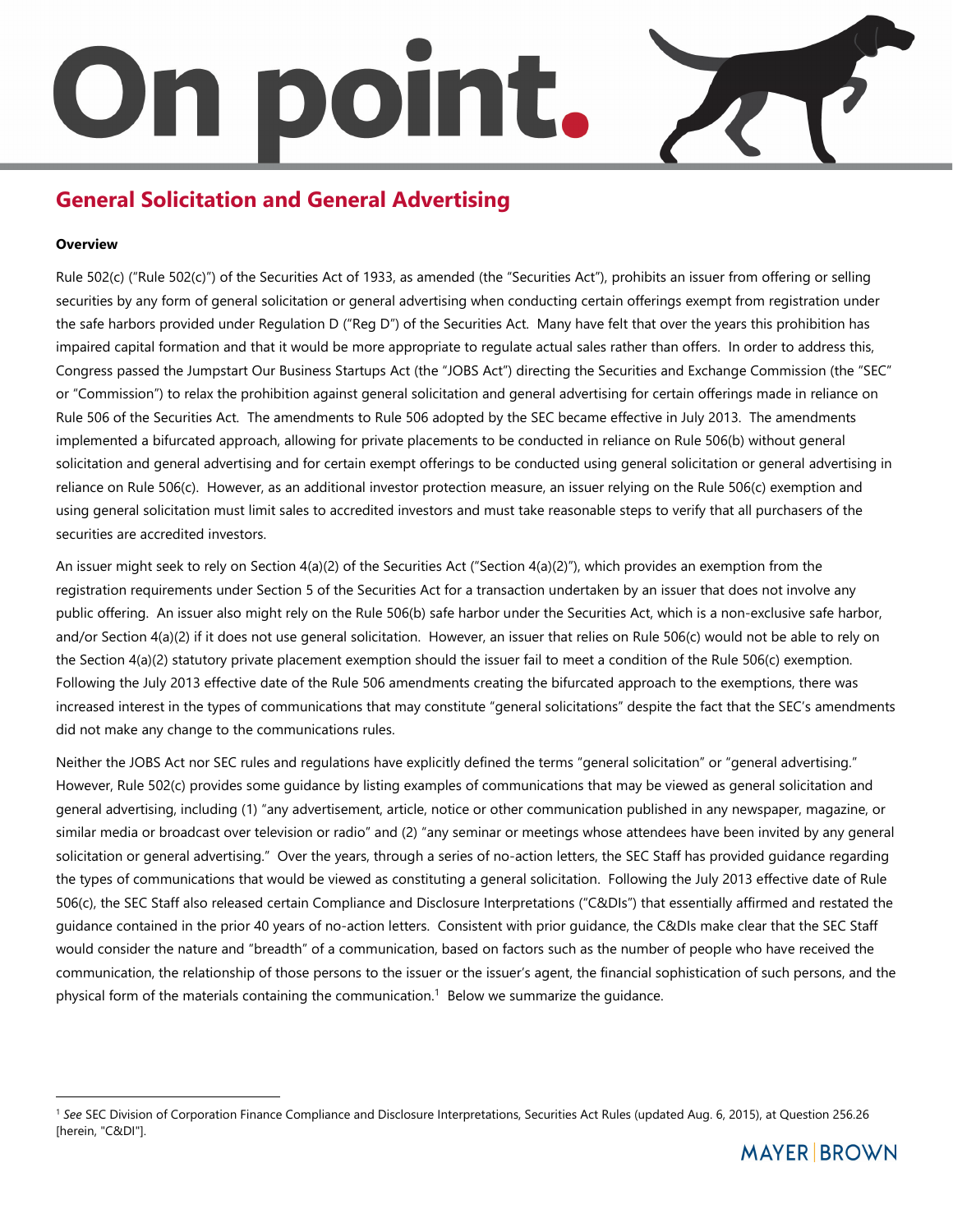# n bolh

# **General Solicitation and General Advertising**

# **Overview**

֦

Rule 502(c) ("Rule 502(c)") of the Securities Act of 1933, as amended (the "Securities Act"), prohibits an issuer from offering or selling securities by any form of general solicitation or general advertising when conducting certain offerings exempt from registration under the safe harbors provided under Regulation D ("Reg D") of the Securities Act. Many have felt that over the years this prohibition has impaired capital formation and that it would be more appropriate to regulate actual sales rather than offers. In order to address this, Congress passed the Jumpstart Our Business Startups Act (the "JOBS Act") directing the Securities and Exchange Commission (the "SEC" or "Commission") to relax the prohibition against general solicitation and general advertising for certain offerings made in reliance on Rule 506 of the Securities Act. The amendments to Rule 506 adopted by the SEC became effective in July 2013. The amendments implemented a bifurcated approach, allowing for private placements to be conducted in reliance on Rule 506(b) without general solicitation and general advertising and for certain exempt offerings to be conducted using general solicitation or general advertising in reliance on Rule 506(c). However, as an additional investor protection measure, an issuer relying on the Rule 506(c) exemption and using general solicitation must limit sales to accredited investors and must take reasonable steps to verify that all purchasers of the securities are accredited investors.

An issuer might seek to rely on Section 4(a)(2) of the Securities Act ("Section 4(a)(2)"), which provides an exemption from the registration requirements under Section 5 of the Securities Act for a transaction undertaken by an issuer that does not involve any public offering. An issuer also might rely on the Rule 506(b) safe harbor under the Securities Act, which is a non-exclusive safe harbor, and/or Section 4(a)(2) if it does not use general solicitation. However, an issuer that relies on Rule 506(c) would not be able to rely on the Section 4(a)(2) statutory private placement exemption should the issuer fail to meet a condition of the Rule 506(c) exemption. Following the July 2013 effective date of the Rule 506 amendments creating the bifurcated approach to the exemptions, there was increased interest in the types of communications that may constitute "general solicitations" despite the fact that the SEC's amendments did not make any change to the communications rules.

Neither the JOBS Act nor SEC rules and regulations have explicitly defined the terms "general solicitation" or "general advertising." However, Rule 502(c) provides some guidance by listing examples of communications that may be viewed as general solicitation and general advertising, including (1) "any advertisement, article, notice or other communication published in any newspaper, magazine, or similar media or broadcast over television or radio" and (2) "any seminar or meetings whose attendees have been invited by any general solicitation or general advertising." Over the years, through a series of no-action letters, the SEC Staff has provided guidance regarding the types of communications that would be viewed as constituting a general solicitation. Following the July 2013 effective date of Rule 506(c), the SEC Staff also released certain Compliance and Disclosure Interpretations ("C&DIs") that essentially affirmed and restated the guidance contained in the prior 40 years of no-action letters. Consistent with prior guidance, the C&DIs make clear that the SEC Staff would consider the nature and "breadth" of a communication, based on factors such as the number of people who have received the communication, the relationship of those persons to the issuer or the issuer's agent, the financial sophistication of such persons, and the physical form of the materials containing the communication.<sup>1</sup> Below we summarize the guidance.

<sup>&</sup>lt;sup>1</sup> See SEC Division of Corporation Finance Compliance and Disclosure Interpretations, Securities Act Rules (updated Aug. 6, 2015), at Question 256.26 [herein, "C&DI"].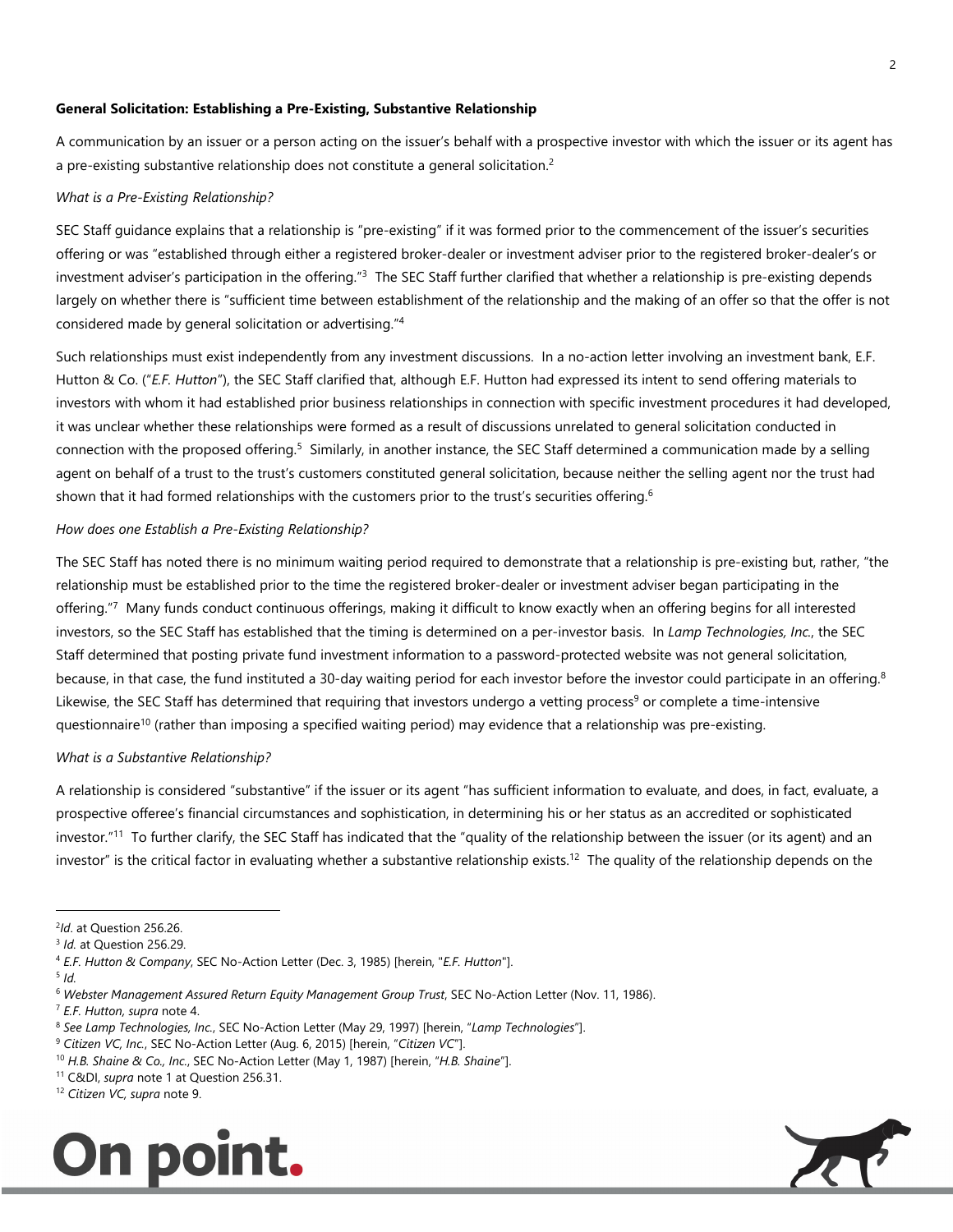#### **General Solicitation: Establishing a Pre-Existing, Substantive Relationship**

A communication by an issuer or a person acting on the issuer's behalf with a prospective investor with which the issuer or its agent has a pre-existing substantive relationship does not constitute a general solicitation.<sup>2</sup>

# *What is a Pre-Existing Relationship?*

SEC Staff guidance explains that a relationship is "pre-existing" if it was formed prior to the commencement of the issuer's securities offering or was "established through either a registered broker-dealer or investment adviser prior to the registered broker-dealer's or investment adviser's participation in the offering."<sup>3</sup> The SEC Staff further clarified that whether a relationship is pre-existing depends largely on whether there is "sufficient time between establishment of the relationship and the making of an offer so that the offer is not considered made by general solicitation or advertising."<sup>4</sup>

Such relationships must exist independently from any investment discussions. In a no-action letter involving an investment bank, E.F. Hutton & Co. ("*E.F. Hutton*"), the SEC Staff clarified that, although E.F. Hutton had expressed its intent to send offering materials to investors with whom it had established prior business relationships in connection with specific investment procedures it had developed, it was unclear whether these relationships were formed as a result of discussions unrelated to general solicitation conducted in connection with the proposed offering.<sup>5</sup> Similarly, in another instance, the SEC Staff determined a communication made by a selling agent on behalf of a trust to the trust's customers constituted general solicitation, because neither the selling agent nor the trust had shown that it had formed relationships with the customers prior to the trust's securities offering.<sup>6</sup>

#### *How does one Establish a Pre-Existing Relationship?*

The SEC Staff has noted there is no minimum waiting period required to demonstrate that a relationship is pre-existing but, rather, "the relationship must be established prior to the time the registered broker-dealer or investment adviser began participating in the offering."7 Many funds conduct continuous offerings, making it difficult to know exactly when an offering begins for all interested investors, so the SEC Staff has established that the timing is determined on a per-investor basis. In *Lamp Technologies, Inc.*, the SEC Staff determined that posting private fund investment information to a password-protected website was not general solicitation, because, in that case, the fund instituted a 30-day waiting period for each investor before the investor could participate in an offering.<sup>8</sup> Likewise, the SEC Staff has determined that requiring that investors undergo a vetting process<sup>9</sup> or complete a time-intensive questionnaire<sup>10</sup> (rather than imposing a specified waiting period) may evidence that a relationship was pre-existing.

#### *What is a Substantive Relationship?*

A relationship is considered "substantive" if the issuer or its agent "has sufficient information to evaluate, and does, in fact, evaluate, a prospective offeree's financial circumstances and sophistication, in determining his or her status as an accredited or sophisticated investor."<sup>11</sup> To further clarify, the SEC Staff has indicated that the "quality of the relationship between the issuer (or its agent) and an investor" is the critical factor in evaluating whether a substantive relationship exists.<sup>12</sup> The quality of the relationship depends on the

֦

<sup>12</sup> *Citizen VC, supra* note 9.





<sup>2</sup> *Id*. at Question 256.26.

<sup>3</sup> *Id.* at Question 256.29.

<sup>4</sup> *E.F. Hutton & Company*, SEC No-Action Letter (Dec. 3, 1985) [herein, "*E.F. Hutton*"].

<sup>5</sup> *Id.* 

<sup>6</sup> *Webster Management Assured Return Equity Management Group Trust*, SEC No-Action Letter (Nov. 11, 1986).

<sup>7</sup> *E.F. Hutton, supra* note 4.

<sup>8</sup> *See Lamp Technologies, Inc.*, SEC No-Action Letter (May 29, 1997) [herein, "*Lamp Technologies*"].

<sup>9</sup> *Citizen VC, Inc.*, SEC No-Action Letter (Aug. 6, 2015) [herein, "*Citizen VC*"].

<sup>10</sup> *H.B. Shaine & Co., Inc.*, SEC No-Action Letter (May 1, 1987) [herein, "*H.B. Shaine*"].

<sup>11</sup> C&DI, *supra* note 1 at Question 256.31.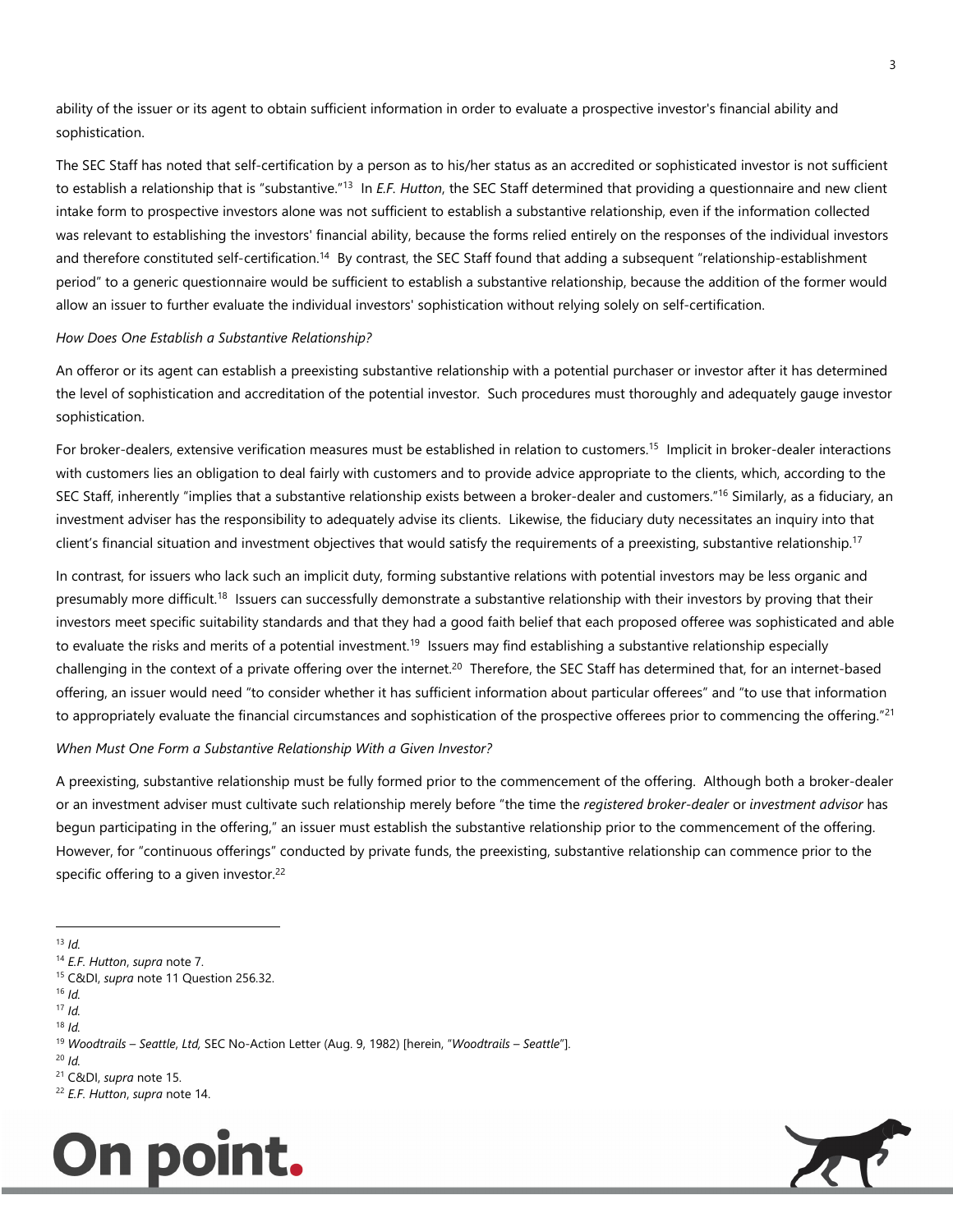ability of the issuer or its agent to obtain sufficient information in order to evaluate a prospective investor's financial ability and sophistication.

The SEC Staff has noted that self-certification by a person as to his/her status as an accredited or sophisticated investor is not sufficient to establish a relationship that is "substantive."<sup>13</sup> In *E.F. Hutton*, the SEC Staff determined that providing a questionnaire and new client intake form to prospective investors alone was not sufficient to establish a substantive relationship, even if the information collected was relevant to establishing the investors' financial ability, because the forms relied entirely on the responses of the individual investors and therefore constituted self-certification.<sup>14</sup> By contrast, the SEC Staff found that adding a subsequent "relationship-establishment period" to a generic questionnaire would be sufficient to establish a substantive relationship, because the addition of the former would allow an issuer to further evaluate the individual investors' sophistication without relying solely on self-certification.

### *How Does One Establish a Substantive Relationship?*

An offeror or its agent can establish a preexisting substantive relationship with a potential purchaser or investor after it has determined the level of sophistication and accreditation of the potential investor. Such procedures must thoroughly and adequately gauge investor sophistication.

For broker-dealers, extensive verification measures must be established in relation to customers.<sup>15</sup> Implicit in broker-dealer interactions with customers lies an obligation to deal fairly with customers and to provide advice appropriate to the clients, which, according to the SEC Staff, inherently "implies that a substantive relationship exists between a broker-dealer and customers."<sup>16</sup> Similarly, as a fiduciary, an investment adviser has the responsibility to adequately advise its clients. Likewise, the fiduciary duty necessitates an inquiry into that client's financial situation and investment objectives that would satisfy the requirements of a preexisting, substantive relationship.<sup>17</sup>

In contrast, for issuers who lack such an implicit duty, forming substantive relations with potential investors may be less organic and presumably more difficult.<sup>18</sup> Issuers can successfully demonstrate a substantive relationship with their investors by proving that their investors meet specific suitability standards and that they had a good faith belief that each proposed offeree was sophisticated and able to evaluate the risks and merits of a potential investment.<sup>19</sup> Issuers may find establishing a substantive relationship especially challenging in the context of a private offering over the internet.<sup>20</sup> Therefore, the SEC Staff has determined that, for an internet-based offering, an issuer would need "to consider whether it has sufficient information about particular offerees" and "to use that information to appropriately evaluate the financial circumstances and sophistication of the prospective offerees prior to commencing the offering."<sup>21</sup>

### *When Must One Form a Substantive Relationship With a Given Investor?*

A preexisting, substantive relationship must be fully formed prior to the commencement of the offering. Although both a broker-dealer or an investment adviser must cultivate such relationship merely before "the time the *registered broker-dealer* or *investment advisor* has begun participating in the offering," an issuer must establish the substantive relationship prior to the commencement of the offering. However, for "continuous offerings" conducted by private funds, the preexisting, substantive relationship can commence prior to the specific offering to a given investor.<sup>22</sup>

 $16$  *Id.* 

 $18$  *Id.* 

- <sup>20</sup> *Id.*
- <sup>21</sup> C&DI, *supra* note 15.

<sup>22</sup> *E.F. Hutton*, *supra* note 14.





<sup>֦</sup>  $13$  *Id.* 

<sup>14</sup> *E.F. Hutton*, *supra* note 7.

<sup>15</sup> C&DI, *supra* note 11 Question 256.32.

<sup>17</sup> *Id.*

<sup>19</sup> *Woodtrails – Seattle*, *Ltd,* SEC No-Action Letter (Aug. 9, 1982) [herein, "*Woodtrails – Seattle*"].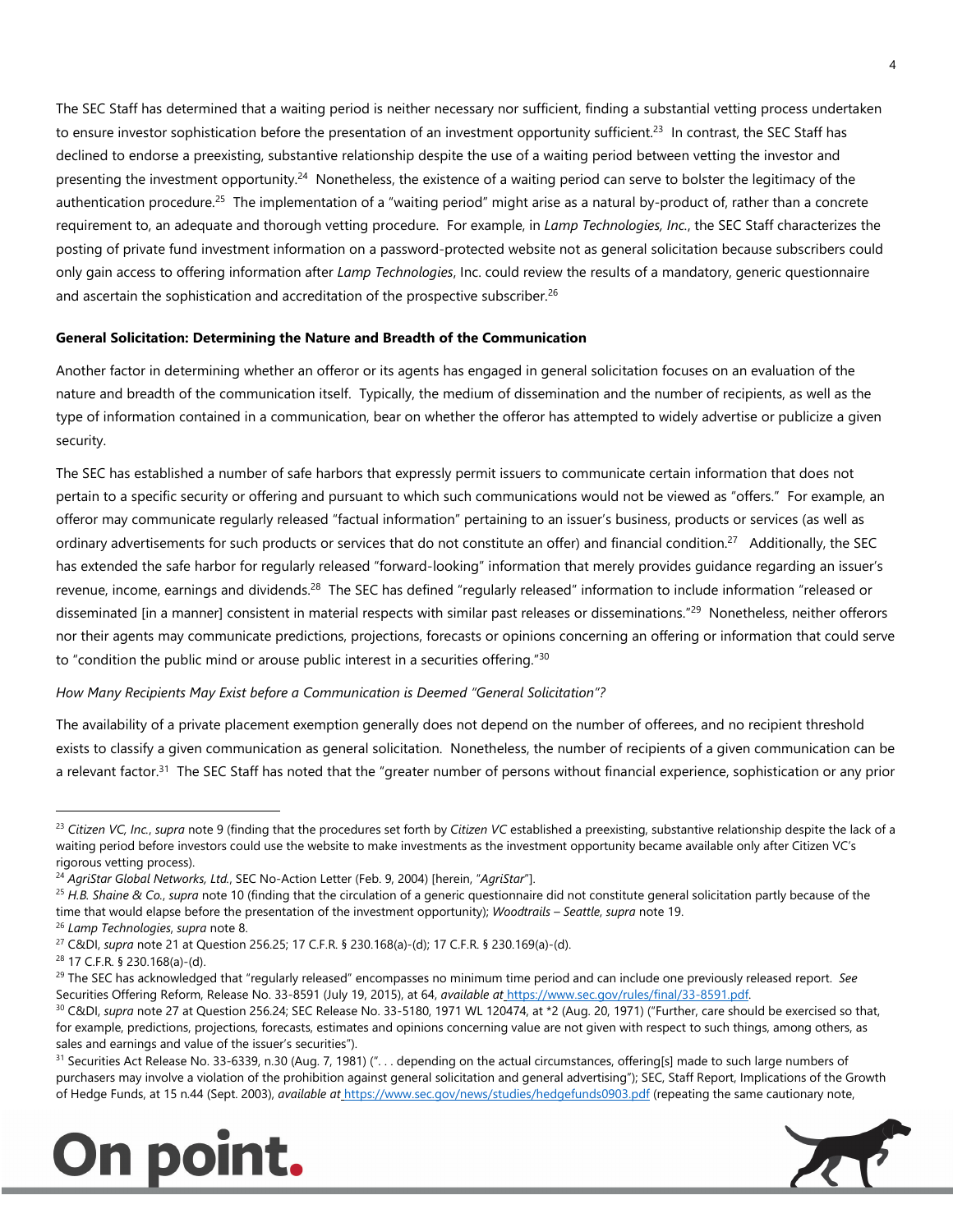The SEC Staff has determined that a waiting period is neither necessary nor sufficient, finding a substantial vetting process undertaken to ensure investor sophistication before the presentation of an investment opportunity sufficient.<sup>23</sup> In contrast, the SEC Staff has declined to endorse a preexisting, substantive relationship despite the use of a waiting period between vetting the investor and presenting the investment opportunity.<sup>24</sup> Nonetheless, the existence of a waiting period can serve to bolster the legitimacy of the authentication procedure.<sup>25</sup> The implementation of a "waiting period" might arise as a natural by-product of, rather than a concrete requirement to, an adequate and thorough vetting procedure. For example, in *Lamp Technologies, Inc.*, the SEC Staff characterizes the posting of private fund investment information on a password-protected website not as general solicitation because subscribers could only gain access to offering information after *Lamp Technologies*, Inc. could review the results of a mandatory, generic questionnaire and ascertain the sophistication and accreditation of the prospective subscriber.<sup>26</sup>

# **General Solicitation: Determining the Nature and Breadth of the Communication**

Another factor in determining whether an offeror or its agents has engaged in general solicitation focuses on an evaluation of the nature and breadth of the communication itself. Typically, the medium of dissemination and the number of recipients, as well as the type of information contained in a communication, bear on whether the offeror has attempted to widely advertise or publicize a given security.

The SEC has established a number of safe harbors that expressly permit issuers to communicate certain information that does not pertain to a specific security or offering and pursuant to which such communications would not be viewed as "offers." For example, an offeror may communicate regularly released "factual information" pertaining to an issuer's business, products or services (as well as ordinary advertisements for such products or services that do not constitute an offer) and financial condition.<sup>27</sup> Additionally, the SEC has extended the safe harbor for regularly released "forward-looking" information that merely provides guidance regarding an issuer's revenue, income, earnings and dividends.<sup>28</sup> The SEC has defined "regularly released" information to include information "released or disseminated [in a manner] consistent in material respects with similar past releases or disseminations."<sup>29</sup> Nonetheless, neither offerors nor their agents may communicate predictions, projections, forecasts or opinions concerning an offering or information that could serve to "condition the public mind or arouse public interest in a securities offering."<sup>30</sup>

# *How Many Recipients May Exist before a Communication is Deemed "General Solicitation"?*

The availability of a private placement exemption generally does not depend on the number of offerees, and no recipient threshold exists to classify a given communication as general solicitation. Nonetheless, the number of recipients of a given communication can be a relevant factor.<sup>31</sup> The SEC Staff has noted that the "greater number of persons without financial experience, sophistication or any prior

֦

<sup>31</sup> Securities Act Release No. 33-6339, n.30 (Aug. 7, 1981) ("... depending on the actual circumstances, offering[s] made to such large numbers of purchasers may involve a violation of the prohibition against general solicitation and general advertising"); SEC, Staff Report, Implications of the Growth of Hedge Funds, at 15 n.44 (Sept. 2003), *available at* https://www.sec.gov/news/studies/hedgefunds0903.pdf (repeating the same cautionary note,





<sup>&</sup>lt;sup>23</sup> Citizen VC, Inc., supra note 9 (finding that the procedures set forth by Citizen VC established a preexisting, substantive relationship despite the lack of a waiting period before investors could use the website to make investments as the investment opportunity became available only after Citizen VC's rigorous vetting process).

<sup>24</sup> *AgriStar Global Networks, Ltd.*, SEC No-Action Letter (Feb. 9, 2004) [herein, "*AgriStar*"].

<sup>25</sup> *H.B. Shaine & Co.*, *supra* note 10 (finding that the circulation of a generic questionnaire did not constitute general solicitation partly because of the time that would elapse before the presentation of the investment opportunity); *Woodtrails – Seattle*, *supra* note 19.

<sup>26</sup> *Lamp Technologies*, *supra* note 8.

<sup>27</sup> C&DI, *supra* note 21 at Question 256.25; 17 C.F.R. § 230.168(a)-(d); 17 C.F.R. § 230.169(a)-(d).

<sup>28</sup> 17 C.F.R. § 230.168(a)-(d).

<sup>29</sup> The SEC has acknowledged that "regularly released" encompasses no minimum time period and can include one previously released report. *See*  Securities Offering Reform, Release No. 33-8591 (July 19, 2015), at 64, *available at* https://www.sec.gov/rules/final/33-8591.pdf.

<sup>&</sup>lt;sup>30</sup> C&DI, *supra* note 27 at Question 256.24; SEC Release No. 33-5180, 1971 WL 120474, at \*2 (Aug. 20, 1971) ("Further, care should be exercised so that, for example, predictions, projections, forecasts, estimates and opinions concerning value are not given with respect to such things, among others, as sales and earnings and value of the issuer's securities").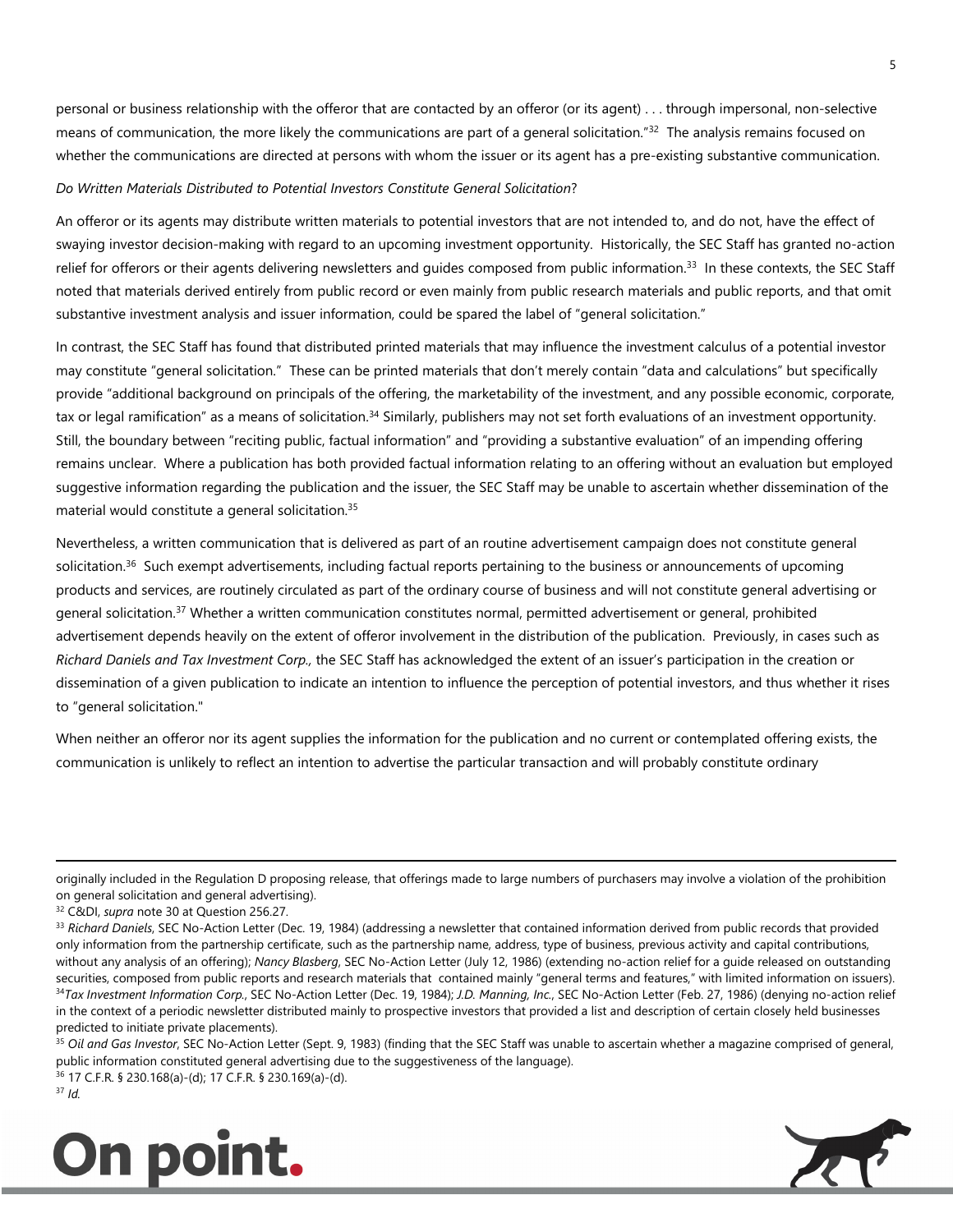personal or business relationship with the offeror that are contacted by an offeror (or its agent) . . . through impersonal, non-selective means of communication, the more likely the communications are part of a general solicitation."<sup>32</sup> The analysis remains focused on whether the communications are directed at persons with whom the issuer or its agent has a pre-existing substantive communication.

# *Do Written Materials Distributed to Potential Investors Constitute General Solicitation*?

An offeror or its agents may distribute written materials to potential investors that are not intended to, and do not, have the effect of swaying investor decision-making with regard to an upcoming investment opportunity. Historically, the SEC Staff has granted no-action relief for offerors or their agents delivering newsletters and guides composed from public information.<sup>33</sup> In these contexts, the SEC Staff noted that materials derived entirely from public record or even mainly from public research materials and public reports, and that omit substantive investment analysis and issuer information, could be spared the label of "general solicitation."

In contrast, the SEC Staff has found that distributed printed materials that may influence the investment calculus of a potential investor may constitute "general solicitation." These can be printed materials that don't merely contain "data and calculations" but specifically provide "additional background on principals of the offering, the marketability of the investment, and any possible economic, corporate, tax or legal ramification" as a means of solicitation.<sup>34</sup> Similarly, publishers may not set forth evaluations of an investment opportunity. Still, the boundary between "reciting public, factual information" and "providing a substantive evaluation" of an impending offering remains unclear. Where a publication has both provided factual information relating to an offering without an evaluation but employed suggestive information regarding the publication and the issuer, the SEC Staff may be unable to ascertain whether dissemination of the material would constitute a general solicitation.<sup>35</sup>

Nevertheless, a written communication that is delivered as part of an routine advertisement campaign does not constitute general solicitation.<sup>36</sup> Such exempt advertisements, including factual reports pertaining to the business or announcements of upcoming products and services, are routinely circulated as part of the ordinary course of business and will not constitute general advertising or general solicitation.<sup>37</sup> Whether a written communication constitutes normal, permitted advertisement or general, prohibited advertisement depends heavily on the extent of offeror involvement in the distribution of the publication. Previously, in cases such as *Richard Daniels and Tax Investment Corp.,* the SEC Staff has acknowledged the extent of an issuer's participation in the creation or dissemination of a given publication to indicate an intention to influence the perception of potential investors, and thus whether it rises to "general solicitation."

When neither an offeror nor its agent supplies the information for the publication and no current or contemplated offering exists, the communication is unlikely to reflect an intention to advertise the particular transaction and will probably constitute ordinary

.

<sup>35</sup> Oil and Gas Investor, SEC No-Action Letter (Sept. 9, 1983) (finding that the SEC Staff was unable to ascertain whether a magazine comprised of general, public information constituted general advertising due to the suggestiveness of the language).

<sup>36</sup> 17 C.F.R. § 230.168(a)-(d); 17 C.F.R. § 230.169(a)-(d). <sup>37</sup> *Id.*





originally included in the Regulation D proposing release, that offerings made to large numbers of purchasers may involve a violation of the prohibition on general solicitation and general advertising).

<sup>32</sup> C&DI, *supra* note 30 at Question 256.27.

<sup>&</sup>lt;sup>33</sup> Richard Daniels, SEC No-Action Letter (Dec. 19, 1984) (addressing a newsletter that contained information derived from public records that provided only information from the partnership certificate, such as the partnership name, address, type of business, previous activity and capital contributions, without any analysis of an offering); *Nancy Blasberg*, SEC No-Action Letter (July 12, 1986) (extending no-action relief for a guide released on outstanding securities, composed from public reports and research materials that contained mainly "general terms and features," with limited information on issuers). <sup>34</sup>*Tax Investment Information Corp.*, SEC No-Action Letter (Dec. 19, 1984); *J.D. Manning, Inc.*, SEC No-Action Letter (Feb. 27, 1986) (denying no-action relief in the context of a periodic newsletter distributed mainly to prospective investors that provided a list and description of certain closely held businesses predicted to initiate private placements).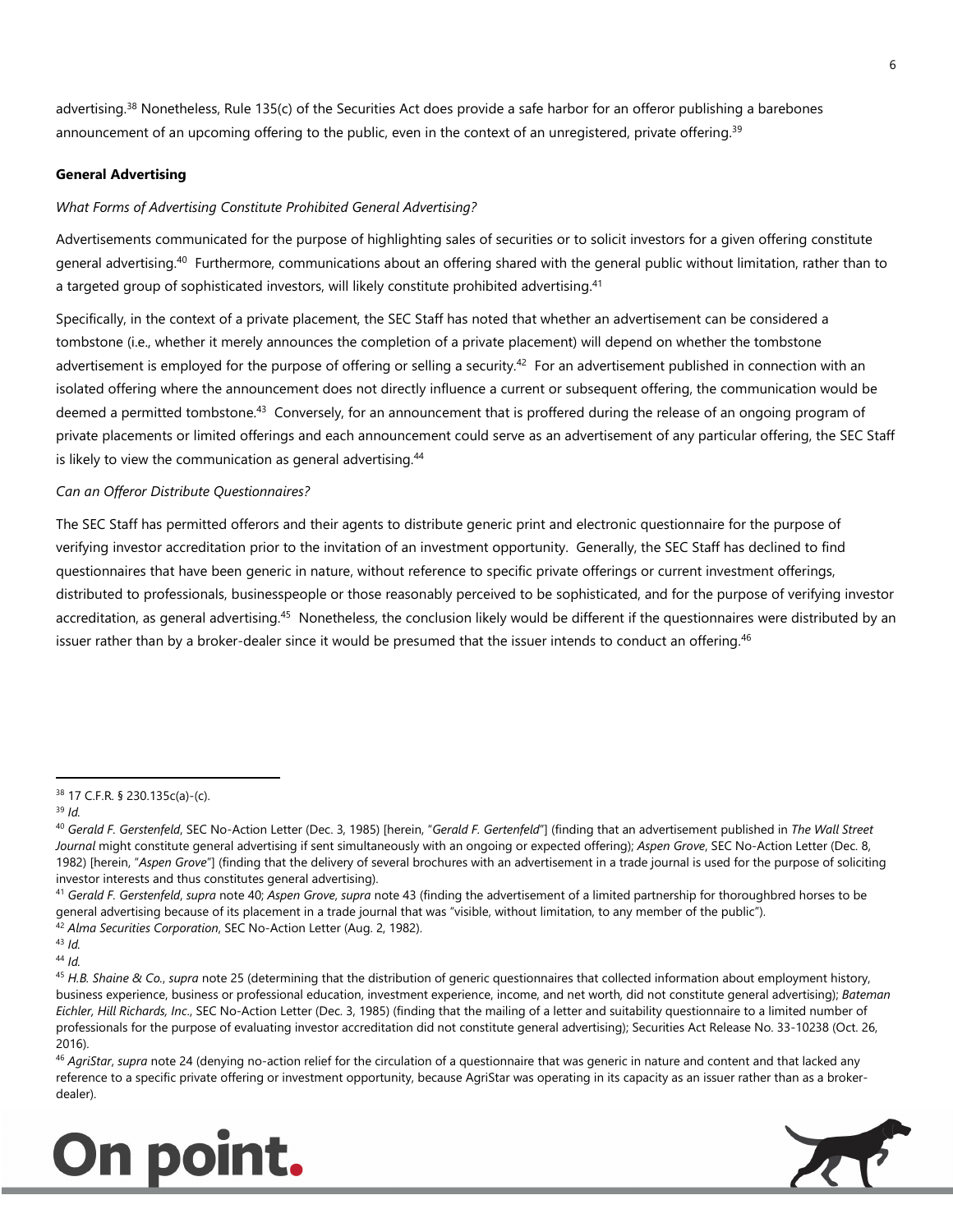advertising.<sup>38</sup> Nonetheless, Rule 135(c) of the Securities Act does provide a safe harbor for an offeror publishing a barebones announcement of an upcoming offering to the public, even in the context of an unregistered, private offering.<sup>39</sup>

# **General Advertising**

# *What Forms of Advertising Constitute Prohibited General Advertising?*

Advertisements communicated for the purpose of highlighting sales of securities or to solicit investors for a given offering constitute general advertising.<sup>40</sup> Furthermore, communications about an offering shared with the general public without limitation, rather than to a targeted group of sophisticated investors, will likely constitute prohibited advertising.<sup>41</sup>

Specifically, in the context of a private placement, the SEC Staff has noted that whether an advertisement can be considered a tombstone (i.e., whether it merely announces the completion of a private placement) will depend on whether the tombstone advertisement is employed for the purpose of offering or selling a security.<sup>42</sup> For an advertisement published in connection with an isolated offering where the announcement does not directly influence a current or subsequent offering, the communication would be deemed a permitted tombstone.<sup>43</sup> Conversely, for an announcement that is proffered during the release of an ongoing program of private placements or limited offerings and each announcement could serve as an advertisement of any particular offering, the SEC Staff is likely to view the communication as general advertising.<sup>44</sup>

# *Can an Offeror Distribute Questionnaires?*

The SEC Staff has permitted offerors and their agents to distribute generic print and electronic questionnaire for the purpose of verifying investor accreditation prior to the invitation of an investment opportunity. Generally, the SEC Staff has declined to find questionnaires that have been generic in nature, without reference to specific private offerings or current investment offerings, distributed to professionals, businesspeople or those reasonably perceived to be sophisticated, and for the purpose of verifying investor accreditation, as general advertising.<sup>45</sup> Nonetheless, the conclusion likely would be different if the questionnaires were distributed by an issuer rather than by a broker-dealer since it would be presumed that the issuer intends to conduct an offering.<sup>46</sup>

֦

<sup>41</sup> *Gerald F. Gerstenfeld*, *supra* note 40; *Aspen Grove*, *supra* note 43 (finding the advertisement of a limited partnership for thoroughbred horses to be general advertising because of its placement in a trade journal that was "visible, without limitation, to any member of the public").

<sup>46</sup> *AgriStar*, *supra* note 24 (denying no-action relief for the circulation of a questionnaire that was generic in nature and content and that lacked any reference to a specific private offering or investment opportunity, because AgriStar was operating in its capacity as an issuer rather than as a brokerdealer).





<sup>38</sup> 17 C.F.R. § 230.135c(a)-(c).

<sup>39</sup> *Id.*

<sup>40</sup> *Gerald F. Gerstenfeld*, SEC No-Action Letter (Dec. 3, 1985) [herein, "*Gerald F. Gertenfeld*"] (finding that an advertisement published in *The Wall Street Journal* might constitute general advertising if sent simultaneously with an ongoing or expected offering); *Aspen Grove*, SEC No-Action Letter (Dec. 8, 1982) [herein, "*Aspen Grove*"] (finding that the delivery of several brochures with an advertisement in a trade journal is used for the purpose of soliciting investor interests and thus constitutes general advertising).

<sup>42</sup> *Alma Securities Corporation*, SEC No-Action Letter (Aug. 2, 1982).

<sup>43</sup> *Id.* 

<sup>44</sup> *Id.* 

<sup>45</sup> *H.B. Shaine & Co.*, *supra* note 25 (determining that the distribution of generic questionnaires that collected information about employment history, business experience, business or professional education, investment experience, income, and net worth, did not constitute general advertising); *Bateman Eichler, Hill Richards, Inc*., SEC No-Action Letter (Dec. 3, 1985) (finding that the mailing of a letter and suitability questionnaire to a limited number of professionals for the purpose of evaluating investor accreditation did not constitute general advertising); Securities Act Release No. 33-10238 (Oct. 26, 2016).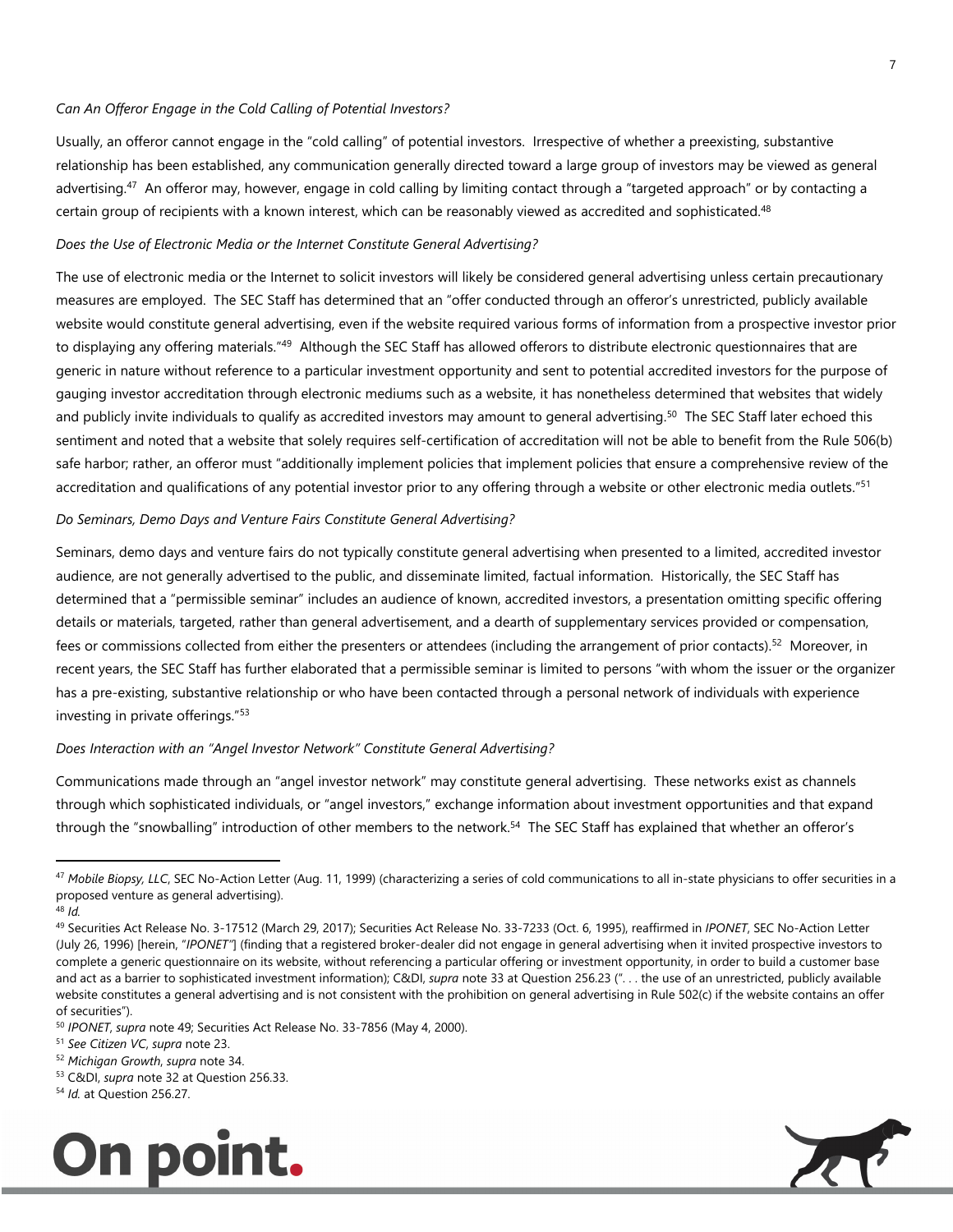#### *Can An Offeror Engage in the Cold Calling of Potential Investors?*

Usually, an offeror cannot engage in the "cold calling" of potential investors. Irrespective of whether a preexisting, substantive relationship has been established, any communication generally directed toward a large group of investors may be viewed as general advertising.<sup>47</sup> An offeror may, however, engage in cold calling by limiting contact through a "targeted approach" or by contacting a certain group of recipients with a known interest, which can be reasonably viewed as accredited and sophisticated.<sup>48</sup>

#### *Does the Use of Electronic Media or the Internet Constitute General Advertising?*

The use of electronic media or the Internet to solicit investors will likely be considered general advertising unless certain precautionary measures are employed. The SEC Staff has determined that an "offer conducted through an offeror's unrestricted, publicly available website would constitute general advertising, even if the website required various forms of information from a prospective investor prior to displaying any offering materials."<sup>49</sup> Although the SEC Staff has allowed offerors to distribute electronic questionnaires that are generic in nature without reference to a particular investment opportunity and sent to potential accredited investors for the purpose of gauging investor accreditation through electronic mediums such as a website, it has nonetheless determined that websites that widely and publicly invite individuals to qualify as accredited investors may amount to general advertising.<sup>50</sup> The SEC Staff later echoed this sentiment and noted that a website that solely requires self-certification of accreditation will not be able to benefit from the Rule 506(b) safe harbor; rather, an offeror must "additionally implement policies that implement policies that ensure a comprehensive review of the accreditation and qualifications of any potential investor prior to any offering through a website or other electronic media outlets."<sup>51</sup>

#### *Do Seminars, Demo Days and Venture Fairs Constitute General Advertising?*

Seminars, demo days and venture fairs do not typically constitute general advertising when presented to a limited, accredited investor audience, are not generally advertised to the public, and disseminate limited, factual information. Historically, the SEC Staff has determined that a "permissible seminar" includes an audience of known, accredited investors, a presentation omitting specific offering details or materials, targeted, rather than general advertisement, and a dearth of supplementary services provided or compensation, fees or commissions collected from either the presenters or attendees (including the arrangement of prior contacts).<sup>52</sup> Moreover, in recent years, the SEC Staff has further elaborated that a permissible seminar is limited to persons "with whom the issuer or the organizer has a pre-existing, substantive relationship or who have been contacted through a personal network of individuals with experience investing in private offerings."<sup>53</sup>

#### *Does Interaction with an "Angel Investor Network" Constitute General Advertising?*

Communications made through an "angel investor network" may constitute general advertising. These networks exist as channels through which sophisticated individuals, or "angel investors," exchange information about investment opportunities and that expand through the "snowballing" introduction of other members to the network.<sup>54</sup> The SEC Staff has explained that whether an offeror's

.

<sup>54</sup> *Id.* at Question 256.27.





<sup>47</sup> *Mobile Biopsy, LLC*, SEC No-Action Letter (Aug. 11, 1999) (characterizing a series of cold communications to all in-state physicians to offer securities in a proposed venture as general advertising).

<sup>48</sup> *Id.* 

<sup>49</sup> Securities Act Release No. 3-17512 (March 29, 2017); Securities Act Release No. 33-7233 (Oct. 6, 1995), reaffirmed in *IPONET*, SEC No-Action Letter (July 26, 1996) [herein, "*IPONET"*] (finding that a registered broker-dealer did not engage in general advertising when it invited prospective investors to complete a generic questionnaire on its website, without referencing a particular offering or investment opportunity, in order to build a customer base and act as a barrier to sophisticated investment information); C&DI, *supra* note 33 at Question 256.23 (". . . the use of an unrestricted, publicly available website constitutes a general advertising and is not consistent with the prohibition on general advertising in Rule 502(c) if the website contains an offer of securities").

<sup>50</sup> *IPONET*, *supra* note 49; Securities Act Release No. 33-7856 (May 4, 2000).

<sup>51</sup> *See Citizen VC*, *supra* note 23.

<sup>52</sup> *Michigan Growth*, *supra* note 34.

<sup>53</sup> C&DI, *supra* note 32 at Question 256.33.